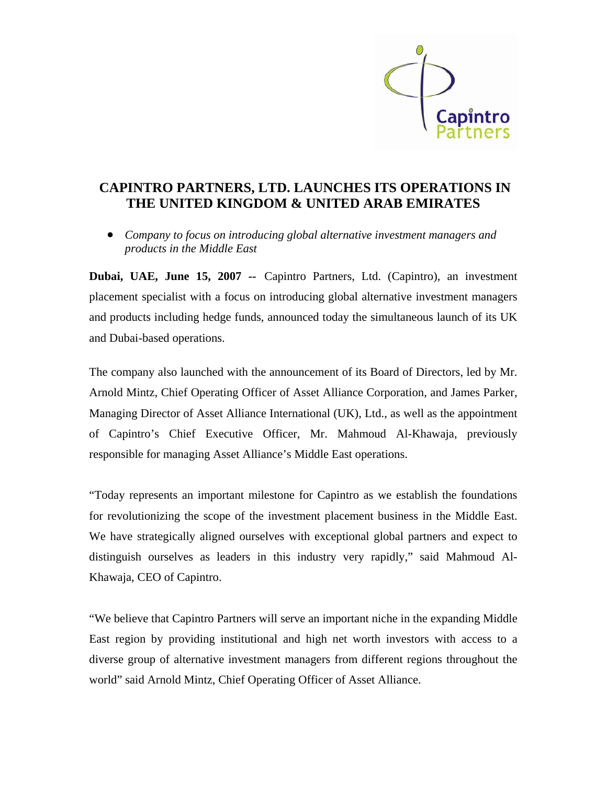

## **CAPINTRO PARTNERS, LTD. LAUNCHES ITS OPERATIONS IN THE UNITED KINGDOM & UNITED ARAB EMIRATES**

• *Company to focus on introducing global alternative investment managers and products in the Middle East* 

**Dubai, UAE, June 15, 2007 --** Capintro Partners, Ltd. (Capintro), an investment placement specialist with a focus on introducing global alternative investment managers and products including hedge funds, announced today the simultaneous launch of its UK and Dubai-based operations.

The company also launched with the announcement of its Board of Directors, led by Mr. Arnold Mintz, Chief Operating Officer of Asset Alliance Corporation, and James Parker, Managing Director of Asset Alliance International (UK), Ltd., as well as the appointment of Capintro's Chief Executive Officer, Mr. Mahmoud Al-Khawaja, previously responsible for managing Asset Alliance's Middle East operations.

"Today represents an important milestone for Capintro as we establish the foundations for revolutionizing the scope of the investment placement business in the Middle East. We have strategically aligned ourselves with exceptional global partners and expect to distinguish ourselves as leaders in this industry very rapidly," said Mahmoud Al-Khawaja, CEO of Capintro.

"We believe that Capintro Partners will serve an important niche in the expanding Middle East region by providing institutional and high net worth investors with access to a diverse group of alternative investment managers from different regions throughout the world" said Arnold Mintz, Chief Operating Officer of Asset Alliance.